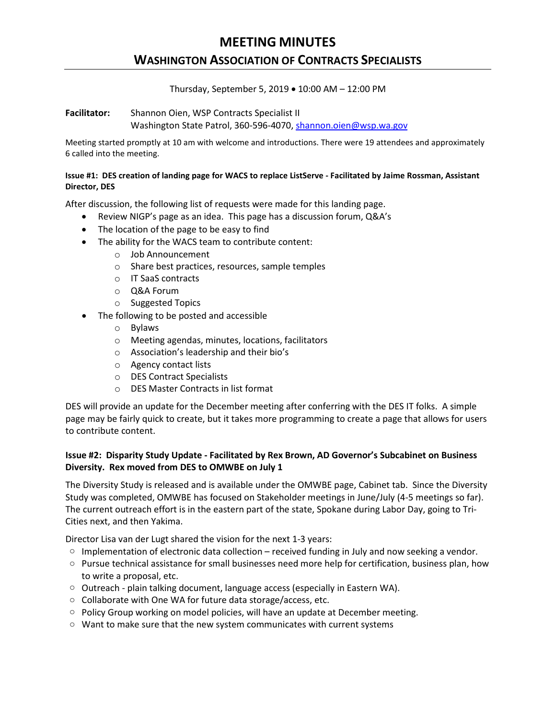# **MEETING MINUTES**

## **WASHINGTON ASSOCIATION OF CONTRACTS SPECIALISTS**

Thursday, September 5, 2019 • 10:00 AM – 12:00 PM

**Facilitator:** Shannon Oien, WSP Contracts Specialist II Washington State Patrol, 360-596-4070, [shannon.oien@wsp.wa.gov](mailto:shannon.oien@wsp.wa.gov)

Meeting started promptly at 10 am with welcome and introductions. There were 19 attendees and approximately 6 called into the meeting.

#### **Issue #1: DES creation of landing page for WACS to replace ListServe - Facilitated by Jaime Rossman, Assistant Director, DES**

After discussion, the following list of requests were made for this landing page.

- Review NIGP's page as an idea. This page has a discussion forum, Q&A's
- The location of the page to be easy to find
- The ability for the WACS team to contribute content:
	- o Job Announcement
	- o Share best practices, resources, sample temples
	- o IT SaaS contracts
	- o Q&A Forum
	- o Suggested Topics
- The following to be posted and accessible
	- o Bylaws
	- o Meeting agendas, minutes, locations, facilitators
	- o Association's leadership and their bio's
	- o Agency contact lists
	- o DES Contract Specialists
	- o DES Master Contracts in list format

DES will provide an update for the December meeting after conferring with the DES IT folks. A simple page may be fairly quick to create, but it takes more programming to create a page that allows for users to contribute content.

### **Issue #2: Disparity Study Update - Facilitated by Rex Brown, AD Governor's Subcabinet on Business Diversity. Rex moved from DES to OMWBE on July 1**

The Diversity Study is released and is available under the OMWBE page, Cabinet tab. Since the Diversity Study was completed, OMWBE has focused on Stakeholder meetings in June/July (4-5 meetings so far). The current outreach effort is in the eastern part of the state, Spokane during Labor Day, going to Tri-Cities next, and then Yakima.

Director Lisa van der Lugt shared the vision for the next 1-3 years:

- o Implementation of electronic data collection received funding in July and now seeking a vendor.
- o Pursue technical assistance for small businesses need more help for certification, business plan, how to write a proposal, etc.
- $\circ$  Outreach plain talking document, language access (especially in Eastern WA).
- o Collaborate with One WA for future data storage/access, etc.
- $\circ$  Policy Group working on model policies, will have an update at December meeting.
- $\circ$  Want to make sure that the new system communicates with current systems